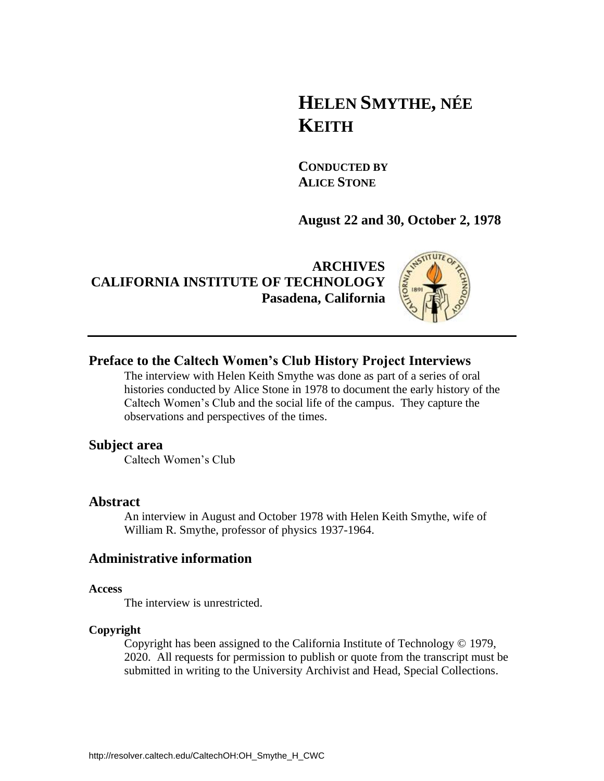# **HELEN SMYTHE, NÉE KEITH**

**CONDUCTED BY ALICE STONE**

**August 22 and 30, October 2, 1978**

**ARCHIVES CALIFORNIA INSTITUTE OF TECHNOLOGY Pasadena, California**



## **Preface to the Caltech Women's Club History Project Interviews**

The interview with Helen Keith Smythe was done as part of a series of oral histories conducted by Alice Stone in 1978 to document the early history of the Caltech Women's Club and the social life of the campus. They capture the observations and perspectives of the times.

### **Subject area**

Caltech Women's Club

### **Abstract**

An interview in August and October 1978 with Helen Keith Smythe, wife of William R. Smythe, professor of physics 1937-1964.

## **Administrative information**

#### **Access**

The interview is unrestricted.

### **Copyright**

Copyright has been assigned to the California Institute of Technology © 1979, 2020. All requests for permission to publish or quote from the transcript must be submitted in writing to the University Archivist and Head, Special Collections.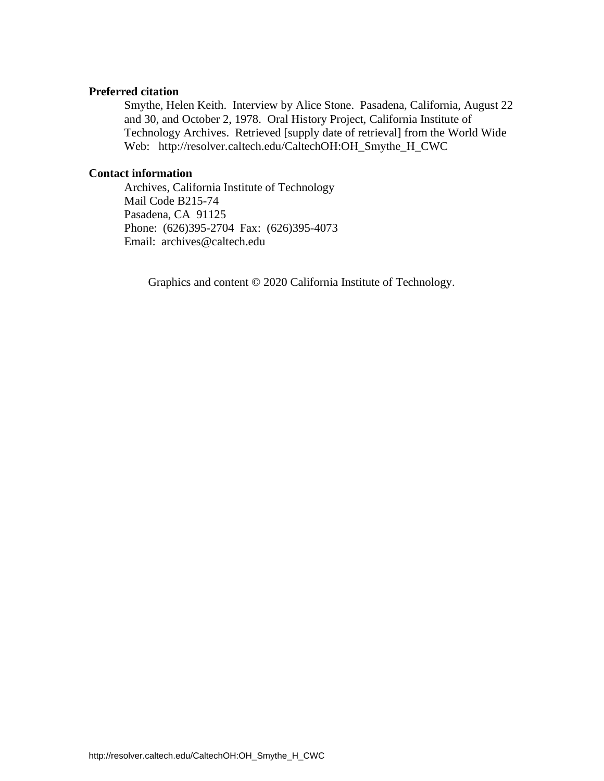#### **Preferred citation**

Smythe, Helen Keith. Interview by Alice Stone. Pasadena, California, August 22 and 30, and October 2, 1978. Oral History Project, California Institute of Technology Archives. Retrieved [supply date of retrieval] from the World Wide Web: http://resolver.caltech.edu/CaltechOH:OH\_Smythe\_H\_CWC

### **Contact information**

Archives, California Institute of Technology Mail Code B215-74 Pasadena, CA 91125 Phone: (626)395-2704 Fax: (626)395-4073 Email: archives@caltech.edu

Graphics and content © 2020 California Institute of Technology.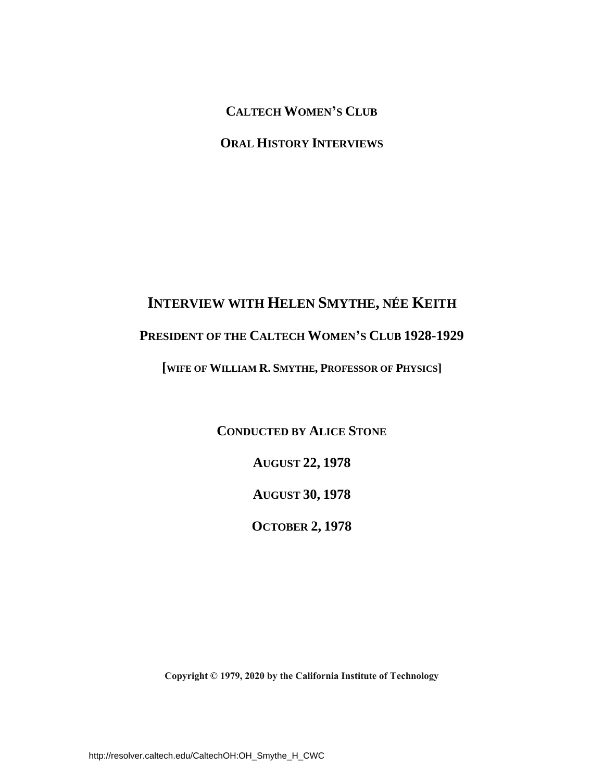**CALTECH WOMEN'S CLUB**

**ORAL HISTORY INTERVIEWS**

# **INTERVIEW WITH HELEN SMYTHE, NÉE KEITH**

# **PRESIDENT OF THE CALTECH WOMEN'S CLUB 1928-1929**

**[WIFE OF WILLIAM R. SMYTHE, PROFESSOR OF PHYSICS]** 

**CONDUCTED BY ALICE STONE AUGUST 22, 1978 AUGUST 30, 1978 OCTOBER 2, 1978** 

**Copyright © 1979, 2020 by the California Institute of Technology**

http://resolver.caltech.edu/CaltechOH:OH\_Smythe\_H\_CWC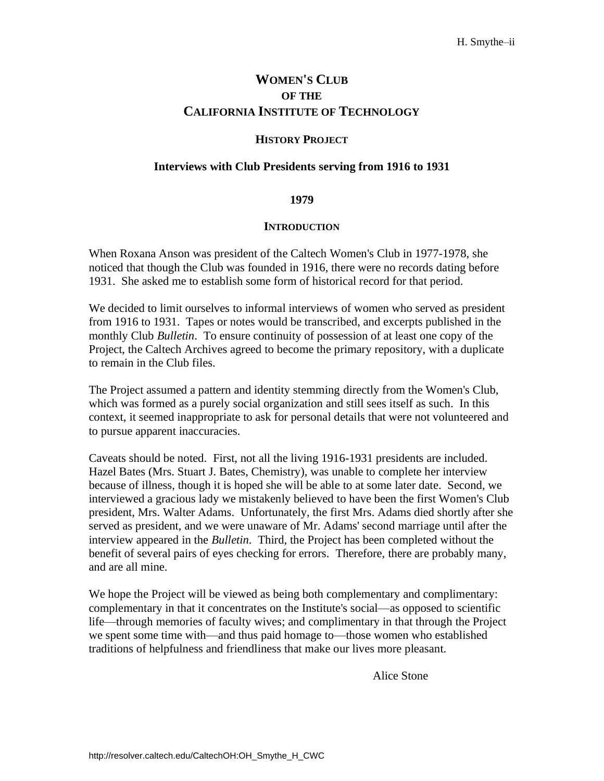# **WOMEN'S CLUB OF THE CALIFORNIA INSTITUTE OF TECHNOLOGY**

### **HISTORY PROJECT**

#### **Interviews with Club Presidents serving from 1916 to 1931**

#### **1979**

#### **INTRODUCTION**

When Roxana Anson was president of the Caltech Women's Club in 1977-1978, she noticed that though the Club was founded in 1916, there were no records dating before 1931. She asked me to establish some form of historical record for that period.

We decided to limit ourselves to informal interviews of women who served as president from 1916 to 1931. Tapes or notes would be transcribed, and excerpts published in the monthly Club *Bulletin*. To ensure continuity of possession of at least one copy of the Project, the Caltech Archives agreed to become the primary repository, with a duplicate to remain in the Club files.

The Project assumed a pattern and identity stemming directly from the Women's Club, which was formed as a purely social organization and still sees itself as such. In this context, it seemed inappropriate to ask for personal details that were not volunteered and to pursue apparent inaccuracies.

Caveats should be noted. First, not all the living 1916-1931 presidents are included. Hazel Bates (Mrs. Stuart J. Bates, Chemistry), was unable to complete her interview because of illness, though it is hoped she will be able to at some later date. Second, we interviewed a gracious lady we mistakenly believed to have been the first Women's Club president, Mrs. Walter Adams. Unfortunately, the first Mrs. Adams died shortly after she served as president, and we were unaware of Mr. Adams' second marriage until after the interview appeared in the *Bulletin*. Third, the Project has been completed without the benefit of several pairs of eyes checking for errors. Therefore, there are probably many, and are all mine.

We hope the Project will be viewed as being both complementary and complimentary: complementary in that it concentrates on the Institute's social—as opposed to scientific life—through memories of faculty wives; and complimentary in that through the Project we spent some time with—and thus paid homage to—those women who established traditions of helpfulness and friendliness that make our lives more pleasant.

Alice Stone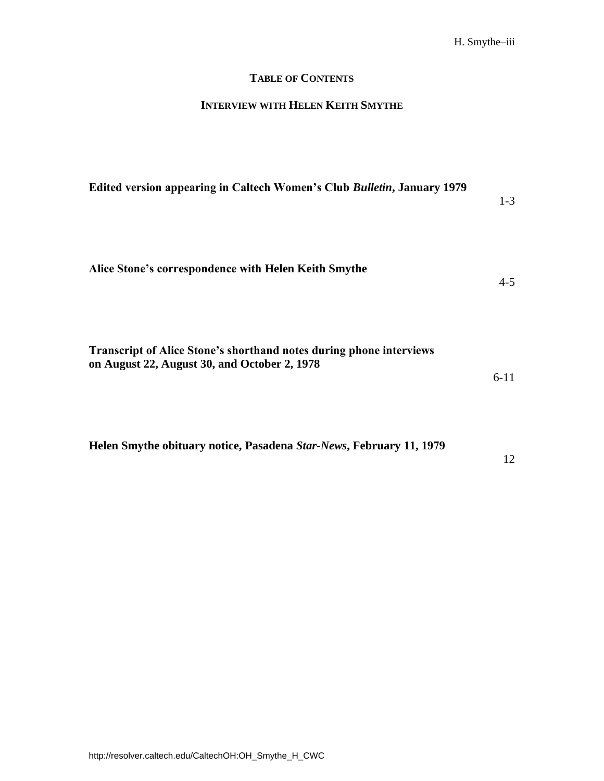# **TABLE OF CONTENTS**

# **INTERVIEW WITH HELEN KEITH SMYTHE**

| Edited version appearing in Caltech Women's Club Bulletin, January 1979                                                    | $1 - 3$ |
|----------------------------------------------------------------------------------------------------------------------------|---------|
| Alice Stone's correspondence with Helen Keith Smythe                                                                       | $4 - 5$ |
| <b>Transcript of Alice Stone's shorthand notes during phone interviews</b><br>on August 22, August 30, and October 2, 1978 | $6-11$  |

12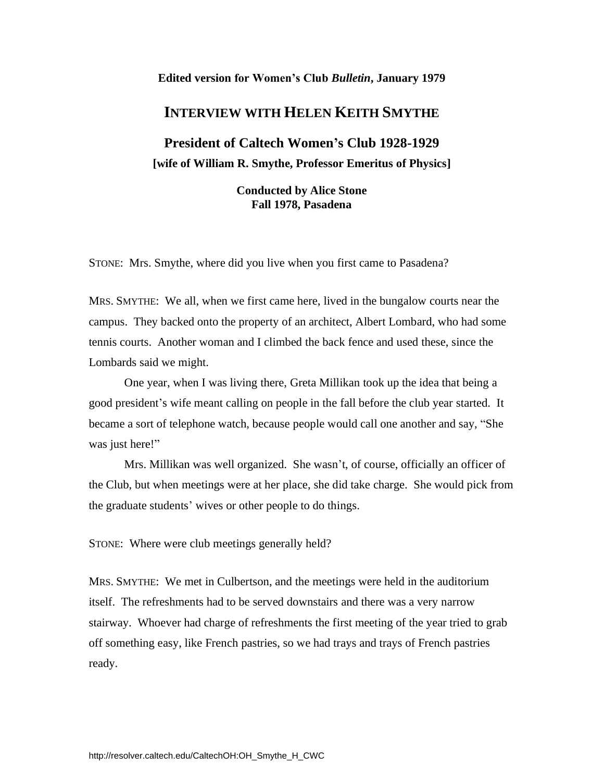#### **Edited version for Women's Club** *Bulletin***, January 1979**

# **INTERVIEW WITH HELEN KEITH SMYTHE**

**President of Caltech Women's Club 1928-1929 [wife of William R. Smythe, Professor Emeritus of Physics]** 

> **Conducted by Alice Stone Fall 1978, Pasadena**

STONE: Mrs. Smythe, where did you live when you first came to Pasadena?

MRS. SMYTHE: We all, when we first came here, lived in the bungalow courts near the campus. They backed onto the property of an architect, Albert Lombard, who had some tennis courts. Another woman and I climbed the back fence and used these, since the Lombards said we might.

One year, when I was living there, Greta Millikan took up the idea that being a good president's wife meant calling on people in the fall before the club year started. It became a sort of telephone watch, because people would call one another and say, "She was just here!"

Mrs. Millikan was well organized. She wasn't, of course, officially an officer of the Club, but when meetings were at her place, she did take charge. She would pick from the graduate students' wives or other people to do things.

STONE: Where were club meetings generally held?

MRS. SMYTHE: We met in Culbertson, and the meetings were held in the auditorium itself. The refreshments had to be served downstairs and there was a very narrow stairway. Whoever had charge of refreshments the first meeting of the year tried to grab off something easy, like French pastries, so we had trays and trays of French pastries ready.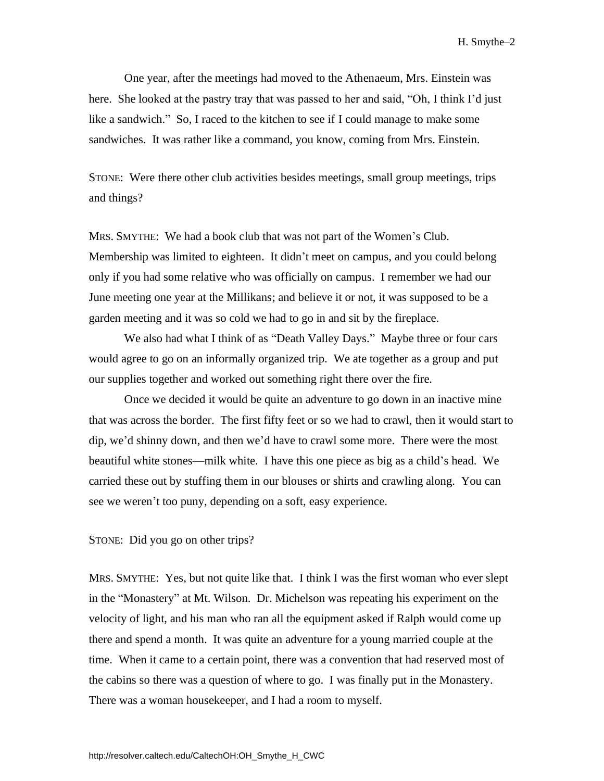One year, after the meetings had moved to the Athenaeum, Mrs. Einstein was here. She looked at the pastry tray that was passed to her and said, "Oh, I think I'd just like a sandwich." So, I raced to the kitchen to see if I could manage to make some sandwiches. It was rather like a command, you know, coming from Mrs. Einstein.

STONE: Were there other club activities besides meetings, small group meetings, trips and things?

MRS. SMYTHE: We had a book club that was not part of the Women's Club. Membership was limited to eighteen. It didn't meet on campus, and you could belong only if you had some relative who was officially on campus. I remember we had our June meeting one year at the Millikans; and believe it or not, it was supposed to be a garden meeting and it was so cold we had to go in and sit by the fireplace.

We also had what I think of as "Death Valley Days." Maybe three or four cars would agree to go on an informally organized trip. We ate together as a group and put our supplies together and worked out something right there over the fire.

Once we decided it would be quite an adventure to go down in an inactive mine that was across the border. The first fifty feet or so we had to crawl, then it would start to dip, we'd shinny down, and then we'd have to crawl some more. There were the most beautiful white stones—milk white. I have this one piece as big as a child's head. We carried these out by stuffing them in our blouses or shirts and crawling along. You can see we weren't too puny, depending on a soft, easy experience.

STONE: Did you go on other trips?

MRS. SMYTHE: Yes, but not quite like that. I think I was the first woman who ever slept in the "Monastery" at Mt. Wilson. Dr. Michelson was repeating his experiment on the velocity of light, and his man who ran all the equipment asked if Ralph would come up there and spend a month. It was quite an adventure for a young married couple at the time. When it came to a certain point, there was a convention that had reserved most of the cabins so there was a question of where to go. I was finally put in the Monastery. There was a woman housekeeper, and I had a room to myself.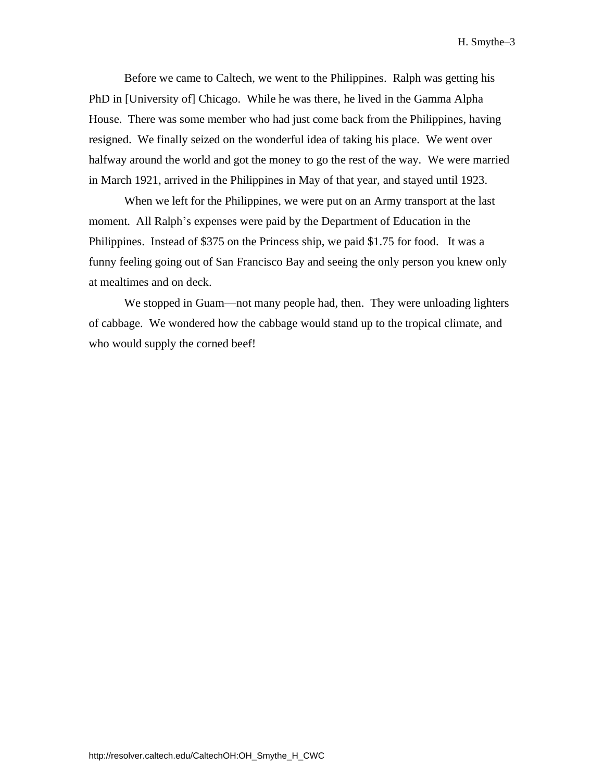Before we came to Caltech, we went to the Philippines. Ralph was getting his PhD in [University of] Chicago. While he was there, he lived in the Gamma Alpha House. There was some member who had just come back from the Philippines, having resigned. We finally seized on the wonderful idea of taking his place. We went over halfway around the world and got the money to go the rest of the way. We were married in March 1921, arrived in the Philippines in May of that year, and stayed until 1923.

When we left for the Philippines, we were put on an Army transport at the last moment. All Ralph's expenses were paid by the Department of Education in the Philippines. Instead of \$375 on the Princess ship, we paid \$1.75 for food. It was a funny feeling going out of San Francisco Bay and seeing the only person you knew only at mealtimes and on deck.

We stopped in Guam—not many people had, then. They were unloading lighters of cabbage. We wondered how the cabbage would stand up to the tropical climate, and who would supply the corned beef!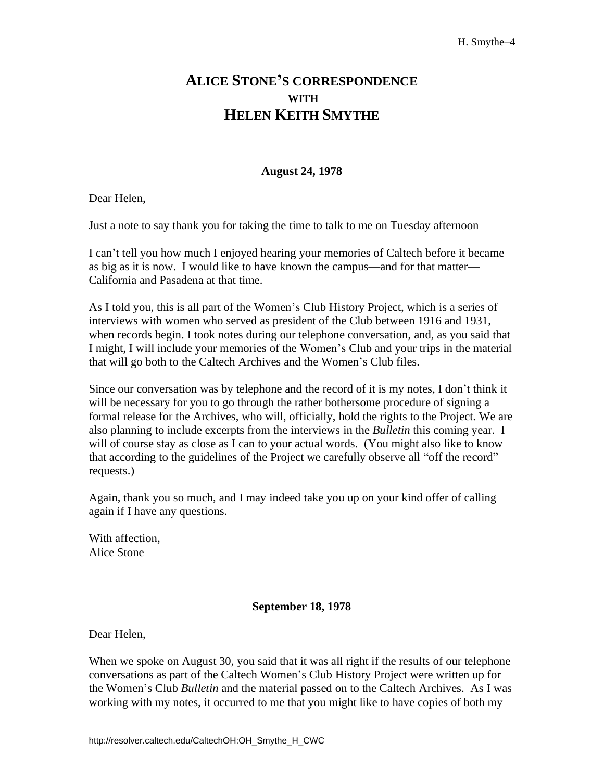# **ALICE STONE'S CORRESPONDENCE WITH HELEN KEITH SMYTHE**

## **August 24, 1978**

Dear Helen,

Just a note to say thank you for taking the time to talk to me on Tuesday afternoon—

I can't tell you how much I enjoyed hearing your memories of Caltech before it became as big as it is now. I would like to have known the campus—and for that matter— California and Pasadena at that time.

As I told you, this is all part of the Women's Club History Project, which is a series of interviews with women who served as president of the Club between 1916 and 1931, when records begin. I took notes during our telephone conversation, and, as you said that I might, I will include your memories of the Women's Club and your trips in the material that will go both to the Caltech Archives and the Women's Club files.

Since our conversation was by telephone and the record of it is my notes, I don't think it will be necessary for you to go through the rather bothersome procedure of signing a formal release for the Archives, who will, officially, hold the rights to the Project. We are also planning to include excerpts from the interviews in the *Bulletin* this coming year. I will of course stay as close as I can to your actual words. (You might also like to know that according to the guidelines of the Project we carefully observe all "off the record" requests.)

Again, thank you so much, and I may indeed take you up on your kind offer of calling again if I have any questions.

With affection, Alice Stone

### **September 18, 1978**

Dear Helen,

When we spoke on August 30, you said that it was all right if the results of our telephone conversations as part of the Caltech Women's Club History Project were written up for the Women's Club *Bulletin* and the material passed on to the Caltech Archives. As I was working with my notes, it occurred to me that you might like to have copies of both my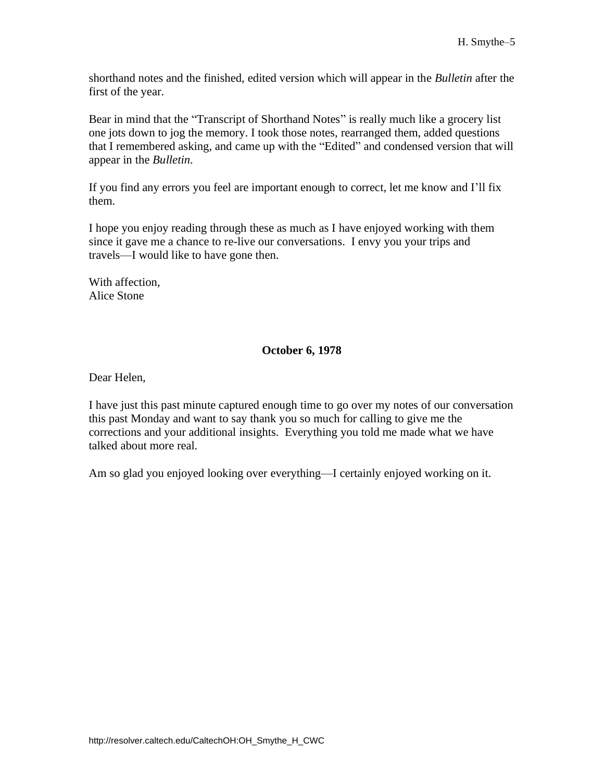shorthand notes and the finished, edited version which will appear in the *Bulletin* after the first of the year.

Bear in mind that the "Transcript of Shorthand Notes" is really much like a grocery list one jots down to jog the memory. I took those notes, rearranged them, added questions that I remembered asking, and came up with the "Edited" and condensed version that will appear in the *Bulletin*.

If you find any errors you feel are important enough to correct, let me know and I'll fix them.

I hope you enjoy reading through these as much as I have enjoyed working with them since it gave me a chance to re-live our conversations. I envy you your trips and travels—I would like to have gone then.

With affection, Alice Stone

### **October 6, 1978**

Dear Helen,

I have just this past minute captured enough time to go over my notes of our conversation this past Monday and want to say thank you so much for calling to give me the corrections and your additional insights. Everything you told me made what we have talked about more real.

Am so glad you enjoyed looking over everything—I certainly enjoyed working on it.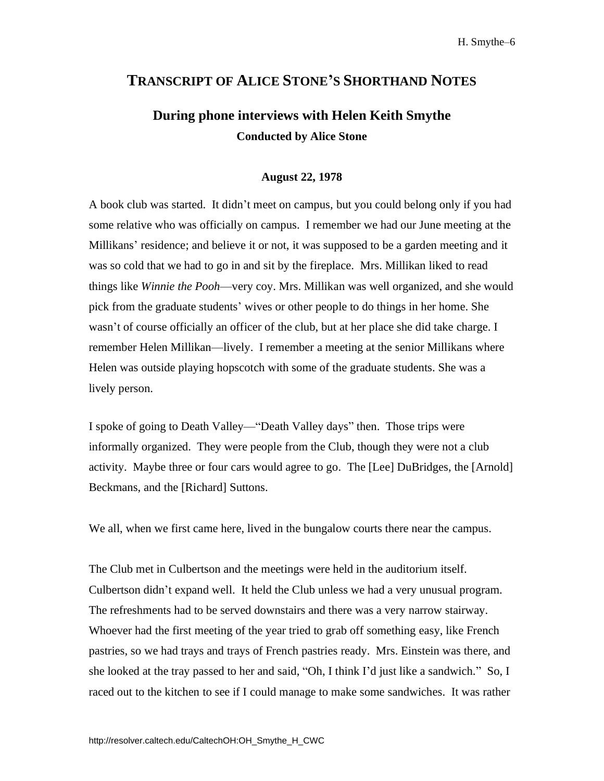# **TRANSCRIPT OF ALICE STONE'S SHORTHAND NOTES**

# **During phone interviews with Helen Keith Smythe Conducted by Alice Stone**

#### **August 22, 1978**

A book club was started. It didn't meet on campus, but you could belong only if you had some relative who was officially on campus. I remember we had our June meeting at the Millikans' residence; and believe it or not, it was supposed to be a garden meeting and it was so cold that we had to go in and sit by the fireplace. Mrs. Millikan liked to read things like *Winnie the Pooh*—very coy. Mrs. Millikan was well organized, and she would pick from the graduate students' wives or other people to do things in her home. She wasn't of course officially an officer of the club, but at her place she did take charge. I remember Helen Millikan—lively. I remember a meeting at the senior Millikans where Helen was outside playing hopscotch with some of the graduate students. She was a lively person.

I spoke of going to Death Valley—"Death Valley days" then. Those trips were informally organized. They were people from the Club, though they were not a club activity. Maybe three or four cars would agree to go. The [Lee] DuBridges, the [Arnold] Beckmans, and the [Richard] Suttons.

We all, when we first came here, lived in the bungalow courts there near the campus.

The Club met in Culbertson and the meetings were held in the auditorium itself. Culbertson didn't expand well. It held the Club unless we had a very unusual program. The refreshments had to be served downstairs and there was a very narrow stairway. Whoever had the first meeting of the year tried to grab off something easy, like French pastries, so we had trays and trays of French pastries ready. Mrs. Einstein was there, and she looked at the tray passed to her and said, "Oh, I think I'd just like a sandwich." So, I raced out to the kitchen to see if I could manage to make some sandwiches. It was rather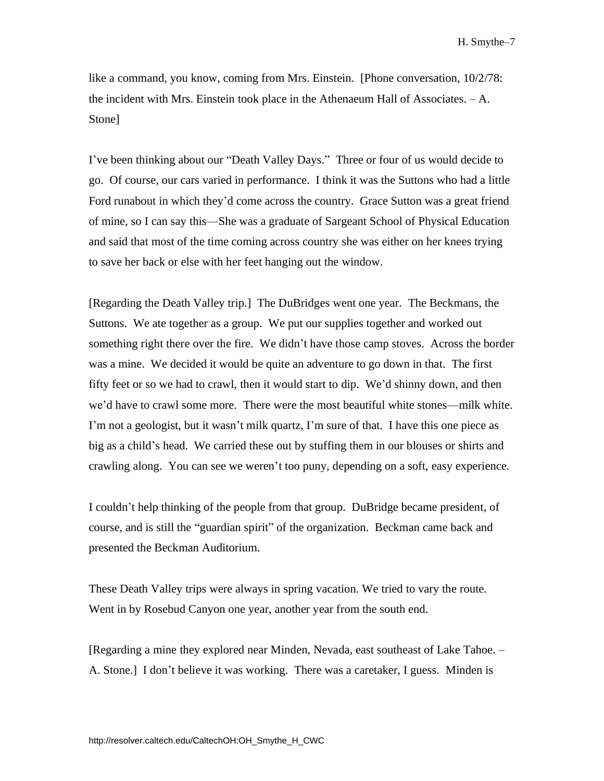like a command, you know, coming from Mrs. Einstein. [Phone conversation, 10/2/78: the incident with Mrs. Einstein took place in the Athenaeum Hall of Associates.  $-A$ . Stone]

I've been thinking about our "Death Valley Days." Three or four of us would decide to go. Of course, our cars varied in performance. I think it was the Suttons who had a little Ford runabout in which they'd come across the country. Grace Sutton was a great friend of mine, so I can say this—She was a graduate of Sargeant School of Physical Education and said that most of the time coming across country she was either on her knees trying to save her back or else with her feet hanging out the window.

[Regarding the Death Valley trip.] The DuBridges went one year. The Beckmans, the Suttons. We ate together as a group. We put our supplies together and worked out something right there over the fire. We didn't have those camp stoves. Across the border was a mine. We decided it would be quite an adventure to go down in that. The first fifty feet or so we had to crawl, then it would start to dip. We'd shinny down, and then we'd have to crawl some more. There were the most beautiful white stones—milk white. I'm not a geologist, but it wasn't milk quartz, I'm sure of that. I have this one piece as big as a child's head. We carried these out by stuffing them in our blouses or shirts and crawling along. You can see we weren't too puny, depending on a soft, easy experience.

I couldn't help thinking of the people from that group. DuBridge became president, of course, and is still the "guardian spirit" of the organization. Beckman came back and presented the Beckman Auditorium.

These Death Valley trips were always in spring vacation. We tried to vary the route. Went in by Rosebud Canyon one year, another year from the south end.

[Regarding a mine they explored near Minden, Nevada, east southeast of Lake Tahoe. – A. Stone.] I don't believe it was working. There was a caretaker, I guess. Minden is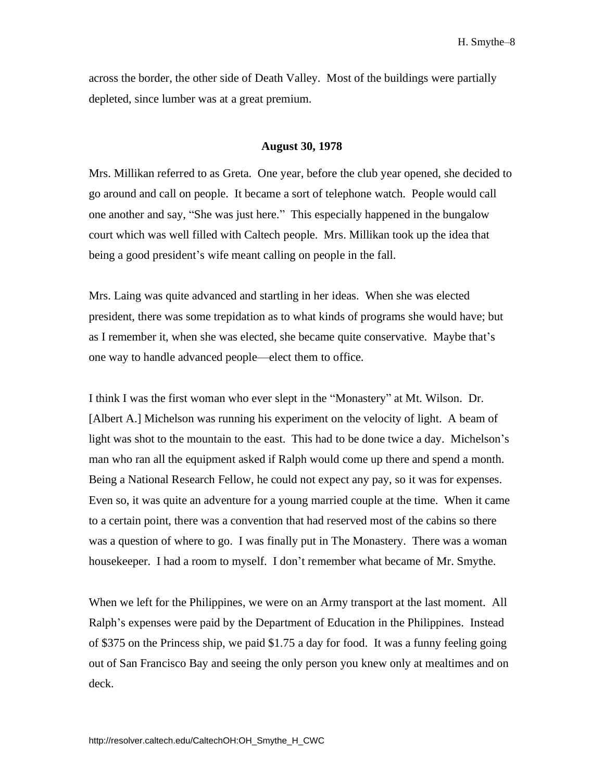across the border, the other side of Death Valley. Most of the buildings were partially depleted, since lumber was at a great premium.

#### **August 30, 1978**

Mrs. Millikan referred to as Greta. One year, before the club year opened, she decided to go around and call on people. It became a sort of telephone watch. People would call one another and say, "She was just here." This especially happened in the bungalow court which was well filled with Caltech people. Mrs. Millikan took up the idea that being a good president's wife meant calling on people in the fall.

Mrs. Laing was quite advanced and startling in her ideas. When she was elected president, there was some trepidation as to what kinds of programs she would have; but as I remember it, when she was elected, she became quite conservative. Maybe that's one way to handle advanced people—elect them to office.

I think I was the first woman who ever slept in the "Monastery" at Mt. Wilson. Dr. [Albert A.] Michelson was running his experiment on the velocity of light. A beam of light was shot to the mountain to the east. This had to be done twice a day. Michelson's man who ran all the equipment asked if Ralph would come up there and spend a month. Being a National Research Fellow, he could not expect any pay, so it was for expenses. Even so, it was quite an adventure for a young married couple at the time. When it came to a certain point, there was a convention that had reserved most of the cabins so there was a question of where to go. I was finally put in The Monastery. There was a woman housekeeper. I had a room to myself. I don't remember what became of Mr. Smythe.

When we left for the Philippines, we were on an Army transport at the last moment. All Ralph's expenses were paid by the Department of Education in the Philippines. Instead of \$375 on the Princess ship, we paid \$1.75 a day for food. It was a funny feeling going out of San Francisco Bay and seeing the only person you knew only at mealtimes and on deck.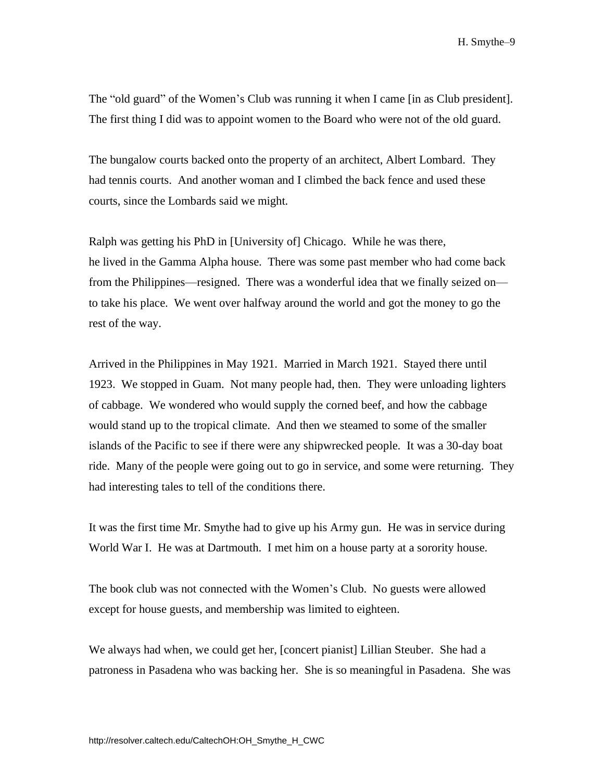The "old guard" of the Women's Club was running it when I came [in as Club president]. The first thing I did was to appoint women to the Board who were not of the old guard.

The bungalow courts backed onto the property of an architect, Albert Lombard. They had tennis courts. And another woman and I climbed the back fence and used these courts, since the Lombards said we might.

Ralph was getting his PhD in [University of] Chicago. While he was there, he lived in the Gamma Alpha house. There was some past member who had come back from the Philippines—resigned. There was a wonderful idea that we finally seized on to take his place. We went over halfway around the world and got the money to go the rest of the way.

Arrived in the Philippines in May 1921. Married in March 1921. Stayed there until 1923. We stopped in Guam. Not many people had, then. They were unloading lighters of cabbage. We wondered who would supply the corned beef, and how the cabbage would stand up to the tropical climate. And then we steamed to some of the smaller islands of the Pacific to see if there were any shipwrecked people. It was a 30-day boat ride. Many of the people were going out to go in service, and some were returning. They had interesting tales to tell of the conditions there.

It was the first time Mr. Smythe had to give up his Army gun. He was in service during World War I. He was at Dartmouth. I met him on a house party at a sorority house.

The book club was not connected with the Women's Club. No guests were allowed except for house guests, and membership was limited to eighteen.

We always had when, we could get her, [concert pianist] Lillian Steuber. She had a patroness in Pasadena who was backing her. She is so meaningful in Pasadena. She was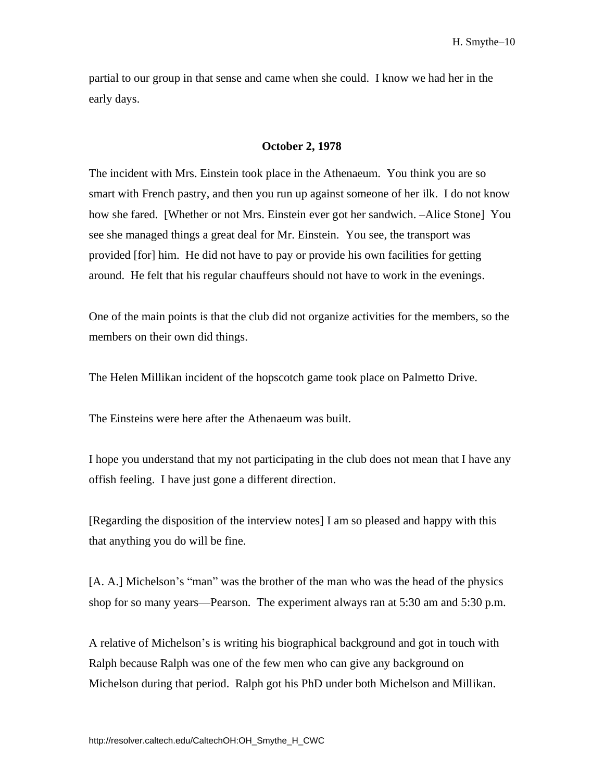partial to our group in that sense and came when she could. I know we had her in the early days.

#### **October 2, 1978**

The incident with Mrs. Einstein took place in the Athenaeum. You think you are so smart with French pastry, and then you run up against someone of her ilk. I do not know how she fared. [Whether or not Mrs. Einstein ever got her sandwich. –Alice Stone] You see she managed things a great deal for Mr. Einstein. You see, the transport was provided [for] him. He did not have to pay or provide his own facilities for getting around. He felt that his regular chauffeurs should not have to work in the evenings.

One of the main points is that the club did not organize activities for the members, so the members on their own did things.

The Helen Millikan incident of the hopscotch game took place on Palmetto Drive.

The Einsteins were here after the Athenaeum was built.

I hope you understand that my not participating in the club does not mean that I have any offish feeling. I have just gone a different direction.

[Regarding the disposition of the interview notes] I am so pleased and happy with this that anything you do will be fine.

[A. A.] Michelson's "man" was the brother of the man who was the head of the physics shop for so many years—Pearson. The experiment always ran at 5:30 am and 5:30 p.m.

A relative of Michelson's is writing his biographical background and got in touch with Ralph because Ralph was one of the few men who can give any background on Michelson during that period. Ralph got his PhD under both Michelson and Millikan.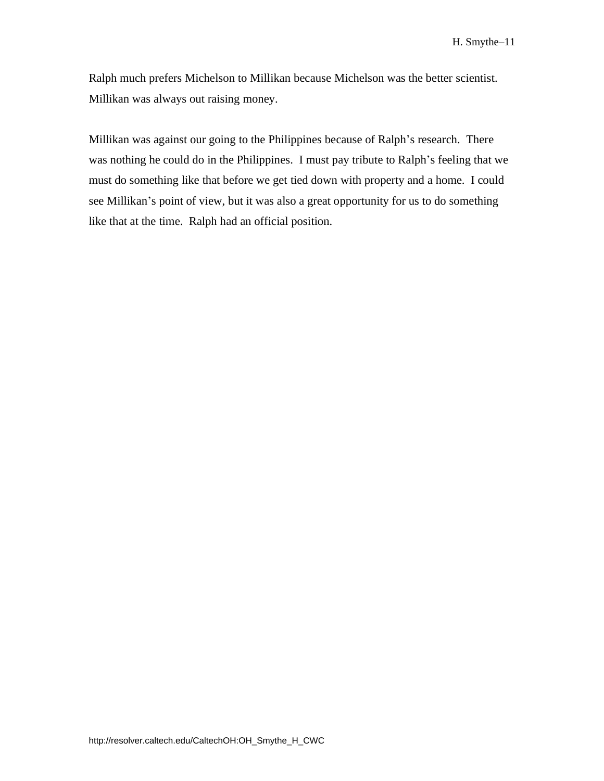Ralph much prefers Michelson to Millikan because Michelson was the better scientist. Millikan was always out raising money.

Millikan was against our going to the Philippines because of Ralph's research. There was nothing he could do in the Philippines. I must pay tribute to Ralph's feeling that we must do something like that before we get tied down with property and a home. I could see Millikan's point of view, but it was also a great opportunity for us to do something like that at the time. Ralph had an official position.